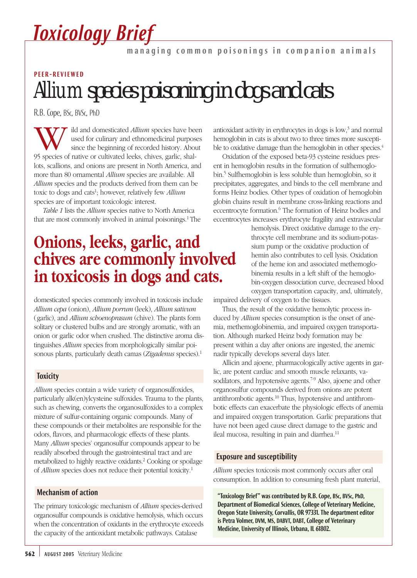# *Toxicology Brief*

managing common poisonings in companion animals

## *Allium* species poisoning in dogs and cats PEER-REVIEWED

R.B. Cope, BSc, BVSc, PhD

**W**ild and domesticated *Allium* species have been used for culinary and ethnomedicinal purposes since the beginning of recorded history. About 95 species of native or cultivated leeks, chives, garlic, shalused for culinary and ethnomedicinal purposes since the beginning of recorded history. About lots, scallions, and onions are present in North America, and more than 80 ornamental *Allium* species are available. All *Allium* species and the products derived from them can be toxic to dogs and cats<sup>1</sup>; however, relatively few *Allium* species are of important toxicologic interest.

*Table 1* lists the *Allium* species native to North America that are most commonly involved in animal poisonings.<sup>1</sup> The

### **Onions, leeks, garlic, and chives are commonly involved in toxicosis in dogs and cats.**

domesticated species commonly involved in toxicosis include *Allium cepa* (onion), *Allium porrum* (leek), *Allium sativum* (garlic), and *Allium schoenoprasum* (chive). The plants form solitary or clustered bulbs and are strongly aromatic, with an onion or garlic odor when crushed. The distinctive aroma distinguishes *Allium* species from morphologically similar poisonous plants, particularly death camas (*Zigadenus* species).1

#### **Toxicity**

*Allium* species contain a wide variety of organosulfoxides, particularly alk(en)ylcysteine sulfoxides. Trauma to the plants, such as chewing, converts the organosulfoxides to a complex mixture of sulfur-containing organic compounds. Many of these compounds or their metabolites are responsible for the odors, flavors, and pharmacologic effects of these plants. Many *Allium* species' organosulfur compounds appear to be readily absorbed through the gastrointestinal tract and are metabolized to highly reactive oxidants.2 Cooking or spoilage of *Allium* species does not reduce their potential toxicity.1

#### Mechanism of action

The primary toxicologic mechanism of *Allium* species-derived organosulfur compounds is oxidative hemolysis, which occurs when the concentration of oxidants in the erythrocyte exceeds the capacity of the antioxidant metabolic pathways. Catalase

antioxidant activity in erythrocytes in dogs is  $\text{low},^3$  and normal hemoglobin in cats is about two to three times more susceptible to oxidative damage than the hemoglobin in other species.<sup>4</sup>

Oxidation of the exposed beta-93 cysteine residues present in hemoglobin results in the formation of sulfhemoglobin.5 Sulfhemoglobin is less soluble than hemoglobin, so it precipitates, aggregates, and binds to the cell membrane and forms Heinz bodies. Other types of oxidation of hemoglobin globin chains result in membrane cross-linking reactions and eccentrocyte formation.<sup>6</sup> The formation of Heinz bodies and eccentrocytes increases erythrocyte fragility and extravascular

hemolysis. Direct oxidative damage to the erythrocyte cell membrane and its sodium-potassium pump or the oxidative production of hemin also contributes to cell lysis. Oxidation of the heme ion and associated methemoglobinemia results in a left shift of the hemoglobin-oxygen dissociation curve, decreased blood oxygen transportation capacity, and, ultimately,

impaired delivery of oxygen to the tissues.

Thus, the result of the oxidative hemolytic process induced by *Allium* species consumption is the onset of anemia, methemoglobinemia, and impaired oxygen transportation. Although marked Heinz body formation may be present within a day after onions are ingested, the anemic nadir typically develops several days later.

Allicin and ajoene, pharmacologically active agents in garlic, are potent cardiac and smooth muscle relaxants, vasodilators, and hypotensive agents.<sup>7-9</sup> Also, ajoene and other organosulfur compounds derived from onions are potent antithrombotic agents.10 Thus, hypotensive and antithrombotic effects can exacerbate the physiologic effects of anemia and impaired oxygen transportation. Garlic preparations that have not been aged cause direct damage to the gastric and ileal mucosa, resulting in pain and diarrhea.<sup>11</sup>

#### Exposure and susceptibility

*Allium* species toxicosis most commonly occurs after oral consumption. In addition to consuming fresh plant material,

"Toxicology Brief" was contributed by R.B. Cope, BSc, BVSc, PhD, Department of Biomedical Sciences, College of Veterinary Medicine, Oregon State University, Corvallis, OR 97331. The department editor is Petra Volmer, DVM, MS, DABVT, DABT, College of Veterinary Medicine, University of Illinois, Urbana, IL 61802.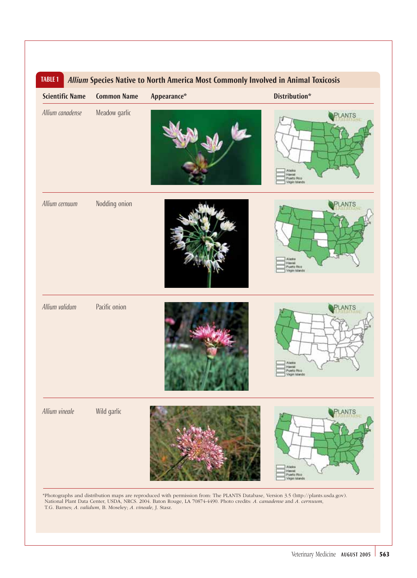| <b>Scientific Name</b> | <b>Common Name</b> | Appearance* | Distribution*                                            |
|------------------------|--------------------|-------------|----------------------------------------------------------|
| Allium canadense       | Meadow garlic      |             | ANTS<br>Havai<br><b>Puerte Rice</b><br>Virgin halands    |
| Allium cernuum         | Nodding onion      |             | ANTS<br>Alaski<br>Harai<br>Puerto Rico<br>Virgin talands |
| Allium validum         | Pacific onion      |             | NTS<br>Alaska<br>Hawat<br>Puerto Rico<br>Virgin Islands  |
| Allium vineale         | Wild garlic        |             | Aladka<br>Havai<br>Puerto Pico<br>Virgin halands         |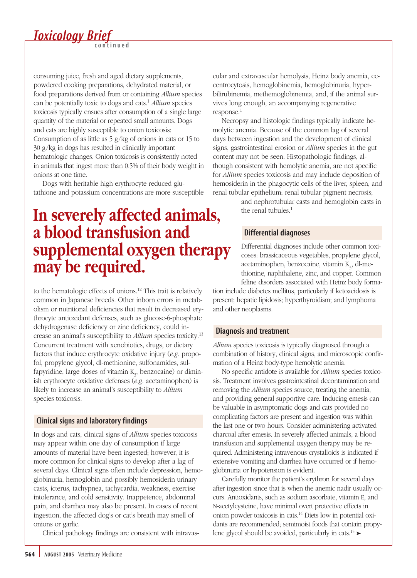

consuming juice, fresh and aged dietary supplements, powdered cooking preparations, dehydrated material, or food preparations derived from or containing *Allium* species can be potentially toxic to dogs and cats.1 *Allium* species toxicosis typically ensues after consumption of a single large quantity of the material or repeated small amounts. Dogs and cats are highly susceptible to onion toxicosis: Consumption of as little as  $\frac{5 \text{ g}}{\text{kg}}$  of onions in cats or 15 to 30 g/kg in dogs has resulted in clinically important hematologic changes. Onion toxicosis is consistently noted in animals that ingest more than 0.5% of their body weight in onions at one time.

Dogs with heritable high erythrocyte reduced glutathione and potassium concentrations are more susceptible

### **In severely affected animals, a blood transfusion and supplemental oxygen therapy may be required.**

to the hematologic effects of onions.12 This trait is relatively common in Japanese breeds. Other inborn errors in metabolism or nutritional deficiencies that result in decreased erythrocyte antioxidant defenses, such as glucose-6-phosphate dehydrogenase deficiency or zinc deficiency, could increase an animal's susceptibility to *Allium* species toxicity.13 Concurrent treatment with xenobiotics, drugs, or dietary factors that induce erythrocyte oxidative injury (*e.g.* propofol, propylene glycol, dl-methionine, sulfonamides, sulfapyridine, large doses of vitamin  $K_{3}$ , benzocaine) or diminish erythrocyte oxidative defenses (*e.g.* acetaminophen) is likely to increase an animal's susceptibility to *Allium* species toxicosis.

#### Clinical signs and laboratory findings

In dogs and cats, clinical signs of *Allium* species toxicosis may appear within one day of consumption if large amounts of material have been ingested; however, it is more common for clinical signs to develop after a lag of several days. Clinical signs often include depression, hemoglobinuria, hemoglobin and possibly hemosiderin urinary casts, icterus, tachypnea, tachycardia, weakness, exercise intolerance, and cold sensitivity. Inappetence, abdominal pain, and diarrhea may also be present. In cases of recent ingestion, the affected dog's or cat's breath may smell of onions or garlic.

Clinical pathology findings are consistent with intravas-

cular and extravascular hemolysis, Heinz body anemia, eccentrocytosis, hemoglobinemia, hemoglobinuria, hyperbilirubinemia, methemoglobinemia, and, if the animal survives long enough, an accompanying regenerative response.<sup>1</sup>

Necropsy and histologic findings typically indicate hemolytic anemia. Because of the common lag of several days between ingestion and the development of clinical signs, gastrointestinal erosion or *Allium* species in the gut content may not be seen. Histopathologic findings, although consistent with hemolytic anemia, are not specific for *Allium* species toxicosis and may include deposition of hemosiderin in the phagocytic cells of the liver, spleen, and renal tubular epithelium; renal tubular pigment necrosis;

and nephrotubular casts and hemoglobin casts in the renal tubules. $<sup>1</sup>$ </sup>

#### Differential diagnoses

Differential diagnoses include other common toxicoses: brassicaceous vegetables, propylene glycol, acetaminophen, benzocaine, vitamin  $K_{3}$ , dl-methionine, naphthalene, zinc, and copper. Common feline disorders associated with Heinz body forma-

tion include diabetes mellitus, particularly if ketoacidosis is present; hepatic lipidosis; hyperthyroidism; and lymphoma and other neoplasms.

#### Diagnosis and treatment

*Allium* species toxicosis is typically diagnosed through a combination of history, clinical signs, and microscopic confirmation of a Heinz body-type hemolytic anemia.

No specific antidote is available for *Allium* species toxicosis. Treatment involves gastrointestinal decontamination and removing the *Allium* species source, treating the anemia, and providing general supportive care. Inducing emesis can be valuable in asymptomatic dogs and cats provided no complicating factors are present and ingestion was within the last one or two hours. Consider administering activated charcoal after emesis. In severely affected animals, a blood transfusion and supplemental oxygen therapy may be required. Administering intravenous crystalloids is indicated if extensive vomiting and diarrhea have occurred or if hemoglobinuria or hypotension is evident.

Carefully monitor the patient's erythron for several days after ingestion since that is when the anemic nadir usually occurs. Antioxidants, such as sodium ascorbate, vitamin E, and N-acetylcysteine, have minimal overt protective effects in onion powder toxicosis in cats.14 Diets low in potential oxidants are recommended; semimoist foods that contain propylene glycol should be avoided, particularly in cats.<sup>15</sup> ►